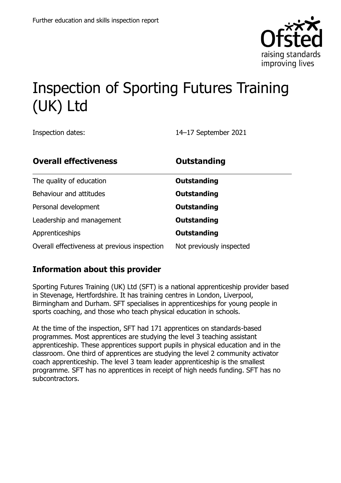

# Inspection of Sporting Futures Training (UK) Ltd

Inspection dates: 14–17 September 2021

| <b>Overall effectiveness</b>                 | <b>Outstanding</b>       |
|----------------------------------------------|--------------------------|
| The quality of education                     | <b>Outstanding</b>       |
| Behaviour and attitudes                      | <b>Outstanding</b>       |
| Personal development                         | <b>Outstanding</b>       |
| Leadership and management                    | <b>Outstanding</b>       |
| Apprenticeships                              | <b>Outstanding</b>       |
| Overall effectiveness at previous inspection | Not previously inspected |

## **Information about this provider**

Sporting Futures Training (UK) Ltd (SFT) is a national apprenticeship provider based in Stevenage, Hertfordshire. It has training centres in London, Liverpool, Birmingham and Durham. SFT specialises in apprenticeships for young people in sports coaching, and those who teach physical education in schools.

At the time of the inspection, SFT had 171 apprentices on standards-based programmes. Most apprentices are studying the level 3 teaching assistant apprenticeship. These apprentices support pupils in physical education and in the classroom. One third of apprentices are studying the level 2 community activator coach apprenticeship. The level 3 team leader apprenticeship is the smallest programme. SFT has no apprentices in receipt of high needs funding. SFT has no subcontractors.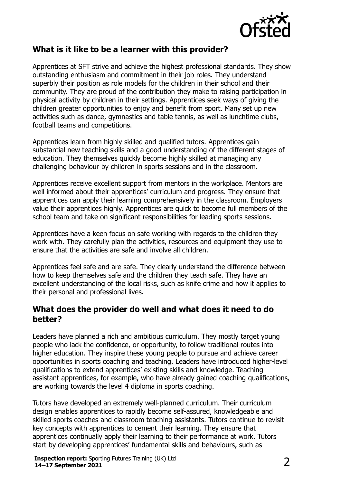

# **What is it like to be a learner with this provider?**

Apprentices at SFT strive and achieve the highest professional standards. They show outstanding enthusiasm and commitment in their job roles. They understand superbly their position as role models for the children in their school and their community. They are proud of the contribution they make to raising participation in physical activity by children in their settings. Apprentices seek ways of giving the children greater opportunities to enjoy and benefit from sport. Many set up new activities such as dance, gymnastics and table tennis, as well as lunchtime clubs, football teams and competitions.

Apprentices learn from highly skilled and qualified tutors. Apprentices gain substantial new teaching skills and a good understanding of the different stages of education. They themselves quickly become highly skilled at managing any challenging behaviour by children in sports sessions and in the classroom.

Apprentices receive excellent support from mentors in the workplace. Mentors are well informed about their apprentices' curriculum and progress. They ensure that apprentices can apply their learning comprehensively in the classroom. Employers value their apprentices highly. Apprentices are quick to become full members of the school team and take on significant responsibilities for leading sports sessions.

Apprentices have a keen focus on safe working with regards to the children they work with. They carefully plan the activities, resources and equipment they use to ensure that the activities are safe and involve all children.

Apprentices feel safe and are safe. They clearly understand the difference between how to keep themselves safe and the children they teach safe. They have an excellent understanding of the local risks, such as knife crime and how it applies to their personal and professional lives.

### **What does the provider do well and what does it need to do better?**

Leaders have planned a rich and ambitious curriculum. They mostly target young people who lack the confidence, or opportunity, to follow traditional routes into higher education. They inspire these young people to pursue and achieve career opportunities in sports coaching and teaching. Leaders have introduced higher-level qualifications to extend apprentices' existing skills and knowledge. Teaching assistant apprentices, for example, who have already gained coaching qualifications, are working towards the level 4 diploma in sports coaching.

Tutors have developed an extremely well-planned curriculum. Their curriculum design enables apprentices to rapidly become self-assured, knowledgeable and skilled sports coaches and classroom teaching assistants. Tutors continue to revisit key concepts with apprentices to cement their learning. They ensure that apprentices continually apply their learning to their performance at work. Tutors start by developing apprentices' fundamental skills and behaviours, such as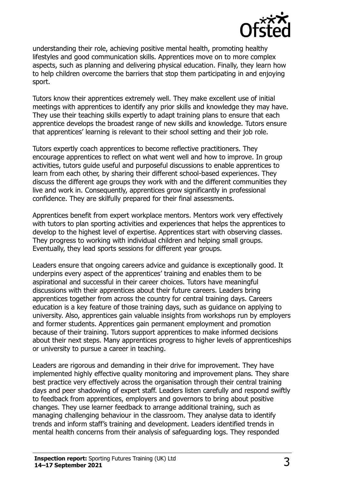

understanding their role, achieving positive mental health, promoting healthy lifestyles and good communication skills. Apprentices move on to more complex aspects, such as planning and delivering physical education. Finally, they learn how to help children overcome the barriers that stop them participating in and enjoying sport.

Tutors know their apprentices extremely well. They make excellent use of initial meetings with apprentices to identify any prior skills and knowledge they may have. They use their teaching skills expertly to adapt training plans to ensure that each apprentice develops the broadest range of new skills and knowledge. Tutors ensure that apprentices' learning is relevant to their school setting and their job role.

Tutors expertly coach apprentices to become reflective practitioners. They encourage apprentices to reflect on what went well and how to improve. In group activities, tutors guide useful and purposeful discussions to enable apprentices to learn from each other, by sharing their different school-based experiences. They discuss the different age groups they work with and the different communities they live and work in. Consequently, apprentices grow significantly in professional confidence. They are skilfully prepared for their final assessments.

Apprentices benefit from expert workplace mentors. Mentors work very effectively with tutors to plan sporting activities and experiences that helps the apprentices to develop to the highest level of expertise. Apprentices start with observing classes. They progress to working with individual children and helping small groups. Eventually, they lead sports sessions for different year groups.

Leaders ensure that ongoing careers advice and guidance is exceptionally good. It underpins every aspect of the apprentices' training and enables them to be aspirational and successful in their career choices. Tutors have meaningful discussions with their apprentices about their future careers. Leaders bring apprentices together from across the country for central training days. Careers education is a key feature of those training days, such as guidance on applying to university. Also, apprentices gain valuable insights from workshops run by employers and former students. Apprentices gain permanent employment and promotion because of their training. Tutors support apprentices to make informed decisions about their next steps. Many apprentices progress to higher levels of apprenticeships or university to pursue a career in teaching.

Leaders are rigorous and demanding in their drive for improvement. They have implemented highly effective quality monitoring and improvement plans. They share best practice very effectively across the organisation through their central training days and peer shadowing of expert staff. Leaders listen carefully and respond swiftly to feedback from apprentices, employers and governors to bring about positive changes. They use learner feedback to arrange additional training, such as managing challenging behaviour in the classroom. They analyse data to identify trends and inform staff's training and development. Leaders identified trends in mental health concerns from their analysis of safeguarding logs. They responded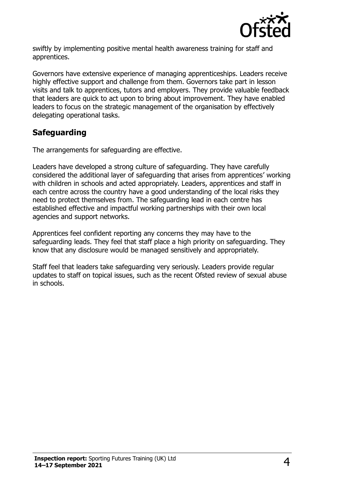

swiftly by implementing positive mental health awareness training for staff and apprentices.

Governors have extensive experience of managing apprenticeships. Leaders receive highly effective support and challenge from them. Governors take part in lesson visits and talk to apprentices, tutors and employers. They provide valuable feedback that leaders are quick to act upon to bring about improvement. They have enabled leaders to focus on the strategic management of the organisation by effectively delegating operational tasks.

# **Safeguarding**

The arrangements for safeguarding are effective.

Leaders have developed a strong culture of safeguarding. They have carefully considered the additional layer of safeguarding that arises from apprentices' working with children in schools and acted appropriately. Leaders, apprentices and staff in each centre across the country have a good understanding of the local risks they need to protect themselves from. The safeguarding lead in each centre has established effective and impactful working partnerships with their own local agencies and support networks.

Apprentices feel confident reporting any concerns they may have to the safeguarding leads. They feel that staff place a high priority on safeguarding. They know that any disclosure would be managed sensitively and appropriately.

Staff feel that leaders take safeguarding very seriously. Leaders provide regular updates to staff on topical issues, such as the recent Ofsted review of sexual abuse in schools.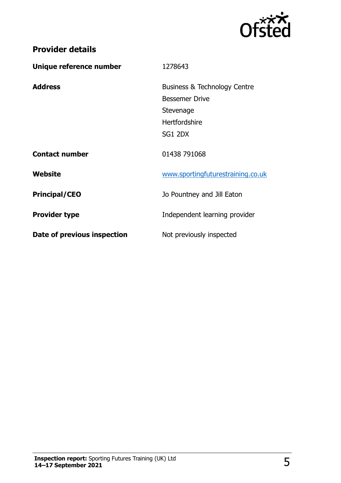

| Unique reference number     | 1278643                                 |
|-----------------------------|-----------------------------------------|
| <b>Address</b>              | <b>Business &amp; Technology Centre</b> |
|                             | <b>Bessemer Drive</b>                   |
|                             | Stevenage                               |
|                             | Hertfordshire                           |
|                             | SG1 2DX                                 |
| <b>Contact number</b>       | 01438 791068                            |
| Website                     | www.sportingfuturestraining.co.uk       |
| <b>Principal/CEO</b>        | Jo Pountney and Jill Eaton              |
| <b>Provider type</b>        | Independent learning provider           |
| Date of previous inspection | Not previously inspected                |

**Provider details**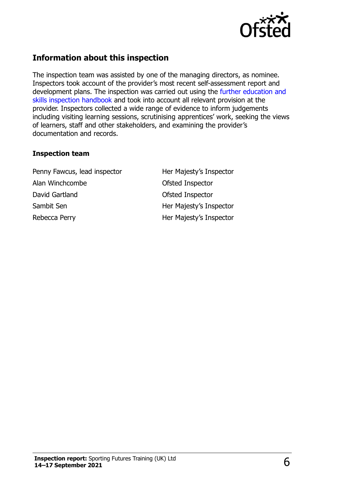

# **Information about this inspection**

The inspection team was assisted by one of the managing directors, as nominee. Inspectors took account of the provider's most recent self-assessment report and development plans. The inspection was carried out using the [further education and](http://www.gov.uk/government/publications/further-education-and-skills-inspection-handbook-eif)  [skills inspection handbook](http://www.gov.uk/government/publications/further-education-and-skills-inspection-handbook-eif) and took into account all relevant provision at the provider. Inspectors collected a wide range of evidence to inform judgements including visiting learning sessions, scrutinising apprentices' work, seeking the views of learners, staff and other stakeholders, and examining the provider's documentation and records.

#### **Inspection team**

Penny Fawcus, lead inspector **Her Majesty's Inspector** Alan Winchcombe **Calculation** Ofsted Inspector David Gartland **David Gartland Ofsted Inspector** Sambit Sen **Her Majesty's Inspector** Rebecca Perry **Her Majesty's Inspector**